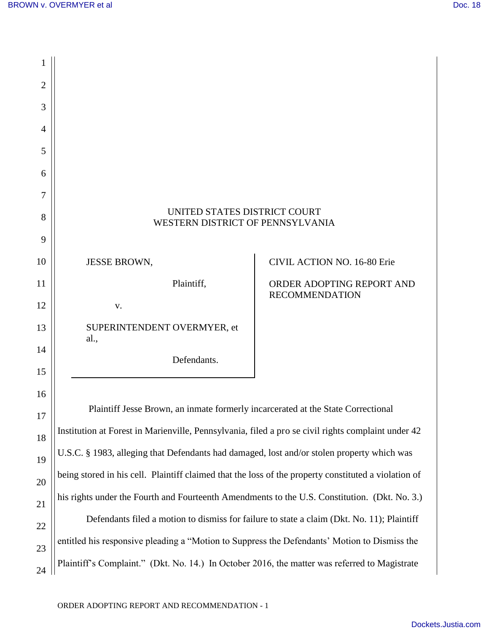| 1              |                                                                                                      |                                                    |
|----------------|------------------------------------------------------------------------------------------------------|----------------------------------------------------|
| $\overline{2}$ |                                                                                                      |                                                    |
| 3              |                                                                                                      |                                                    |
| 4              |                                                                                                      |                                                    |
| 5              |                                                                                                      |                                                    |
| 6              |                                                                                                      |                                                    |
| 7              |                                                                                                      |                                                    |
| 8              | UNITED STATES DISTRICT COURT<br>WESTERN DISTRICT OF PENNSYLVANIA                                     |                                                    |
| 9              |                                                                                                      |                                                    |
| 10             | <b>JESSE BROWN,</b>                                                                                  | <b>CIVIL ACTION NO. 16-80 Erie</b>                 |
| 11             | Plaintiff,                                                                                           | ORDER ADOPTING REPORT AND<br><b>RECOMMENDATION</b> |
| 12             | V.                                                                                                   |                                                    |
| 13             | SUPERINTENDENT OVERMYER, et<br>al.,                                                                  |                                                    |
| 14             | Defendants.                                                                                          |                                                    |
| 15             |                                                                                                      |                                                    |
| 16             | Plaintiff Jesse Brown, an inmate formerly incarcerated at the State Correctional                     |                                                    |
| 17             | Institution at Forest in Marienville, Pennsylvania, filed a pro se civil rights complaint under 42   |                                                    |
| 18             | U.S.C. § 1983, alleging that Defendants had damaged, lost and/or stolen property which was           |                                                    |
| 19             | being stored in his cell. Plaintiff claimed that the loss of the property constituted a violation of |                                                    |
| 20             |                                                                                                      |                                                    |
| 21             | his rights under the Fourth and Fourteenth Amendments to the U.S. Constitution. (Dkt. No. 3.)        |                                                    |
| 22             | Defendants filed a motion to dismiss for failure to state a claim (Dkt. No. 11); Plaintiff           |                                                    |
| 23             | entitled his responsive pleading a "Motion to Suppress the Defendants' Motion to Dismiss the         |                                                    |
| 24             | Plaintiff's Complaint." (Dkt. No. 14.) In October 2016, the matter was referred to Magistrate        |                                                    |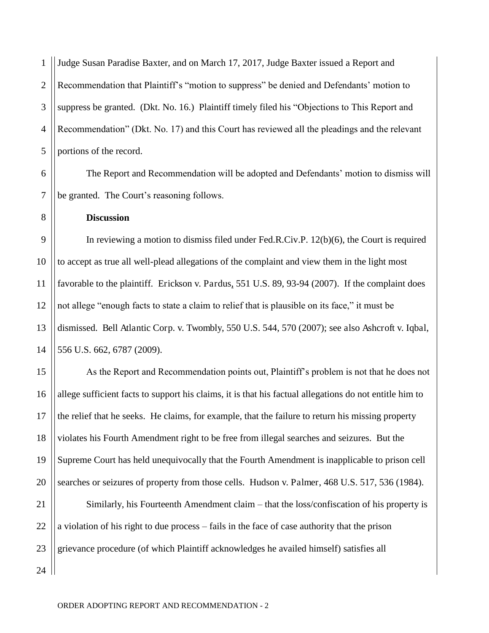1 2 3 4 5 Judge Susan Paradise Baxter, and on March 17, 2017, Judge Baxter issued a Report and Recommendation that Plaintiff's "motion to suppress" be denied and Defendants' motion to suppress be granted. (Dkt. No. 16.) Plaintiff timely filed his "Objections to This Report and Recommendation" (Dkt. No. 17) and this Court has reviewed all the pleadings and the relevant portions of the record.

6 7 The Report and Recommendation will be adopted and Defendants' motion to dismiss will be granted. The Court's reasoning follows.

**Discussion**

8

15

16

17

18

19

20

9 10 11 12 13 14 In reviewing a motion to dismiss filed under Fed.R.Civ.P. 12(b)(6), the Court is required to accept as true all well-plead allegations of the complaint and view them in the light most favorable to the plaintiff. Erickson v. Pardus, 551 U.S. 89, 93-94 (2007). If the complaint does not allege "enough facts to state a claim to relief that is plausible on its face," it must be dismissed. Bell Atlantic Corp. v. Twombly, 550 U.S. 544, 570 (2007); see also Ashcroft v. Iqbal, 556 U.S. 662, 6787 (2009).

As the Report and Recommendation points out, Plaintiff's problem is not that he does not allege sufficient facts to support his claims, it is that his factual allegations do not entitle him to the relief that he seeks. He claims, for example, that the failure to return his missing property violates his Fourth Amendment right to be free from illegal searches and seizures. But the Supreme Court has held unequivocally that the Fourth Amendment is inapplicable to prison cell searches or seizures of property from those cells. Hudson v. Palmer, 468 U.S. 517, 536 (1984).

21 22 23 Similarly, his Fourteenth Amendment claim – that the loss/confiscation of his property is a violation of his right to due process – fails in the face of case authority that the prison grievance procedure (of which Plaintiff acknowledges he availed himself) satisfies all